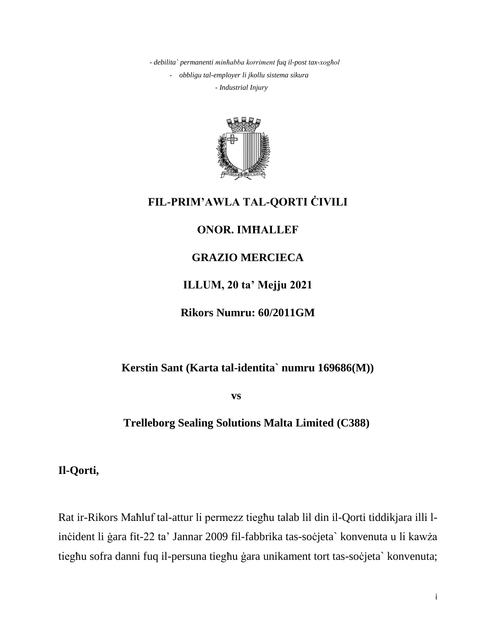*- debilita` permanenti minħabba korriment fuq il-post tax-xogħol - obbligu tal-employer li jkollu sistema sikura - Industrial Injury*



# **FIL-PRIM'AWLA TAL-QORTI ĊIVILI**

# **ONOR. IMĦALLEF**

# **GRAZIO MERCIECA**

# **ILLUM, 20 ta' Mejju 2021**

# **Rikors Numru: 60/2011GM**

# **Kerstin Sant (Karta tal-identita` numru 169686(M))**

 **vs**

## **Trelleborg Sealing Solutions Malta Limited (C388)**

**Il-Qorti,**

Rat ir-Rikors Maħluf tal-attur li permezz tiegħu talab lil din il-Qorti tiddikjara illi linċident li ġara fit-22 ta' Jannar 2009 fil-fabbrika tas-soċjeta` konvenuta u li kawża tiegħu sofra danni fuq il-persuna tiegħu ġara unikament tort tas-soċjeta` konvenuta;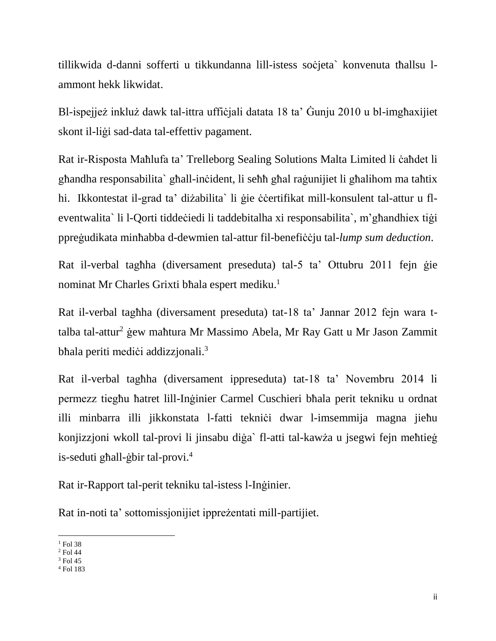tillikwida d-danni sofferti u tikkundanna lill-istess soċjeta` konvenuta tħallsu lammont hekk likwidat.

Bl-ispejjeż inkluż dawk tal-ittra uffiċjali datata 18 ta' Ġunju 2010 u bl-imgħaxijiet skont il-liġi sad-data tal-effettiv pagament.

Rat ir-Risposta Maħlufa ta' Trelleborg Sealing Solutions Malta Limited li ċaħdet li għandha responsabilita` għall-inċident, li seħħ għal raġunijiet li għalihom ma taħtix hi. Ikkontestat il-grad ta' diżabilita` li gie ċċertifikat mill-konsulent tal-attur u fleventwalita` li l-Qorti tiddeċiedi li taddebitalha xi responsabilita`, m'għandhiex tiġi ppreġudikata minħabba d-dewmien tal-attur fil-benefiċċju tal-*lump sum deduction*.

Rat il-verbal tagħha (diversament preseduta) tal-5 ta' Ottubru 2011 fejn ġie nominat Mr Charles Grixti bħala espert mediku. 1

Rat il-verbal tagħha (diversament preseduta) tat-18 ta' Jannar 2012 fejn wara ttalba tal-attur<sup>2</sup> ġew maħtura Mr Massimo Abela, Mr Ray Gatt u Mr Jason Zammit bħala periti mediċi addizzjonali.<sup>3</sup>

Rat il-verbal tagħha (diversament ippreseduta) tat-18 ta' Novembru 2014 li permezz tiegħu ħatret lill-Inġinier Carmel Cuschieri bħala perit tekniku u ordnat illi minbarra illi jikkonstata l-fatti tekniċi dwar l-imsemmija magna jieħu konjizzjoni wkoll tal-provi li jinsabu diġa` fl-atti tal-kawża u jsegwi fejn meħtieġ is-seduti għall-ġbir tal-provi.<sup>4</sup>

Rat ir-Rapport tal-perit tekniku tal-istess l-Inġinier.

Rat in-noti ta' sottomissjonijiet ippreżentati mill-partijiet.

 $\overline{\phantom{a}}$  $1$  Fol 38

<sup>2</sup> Fol 44

<sup>3</sup> Fol 45

<sup>4</sup> Fol 183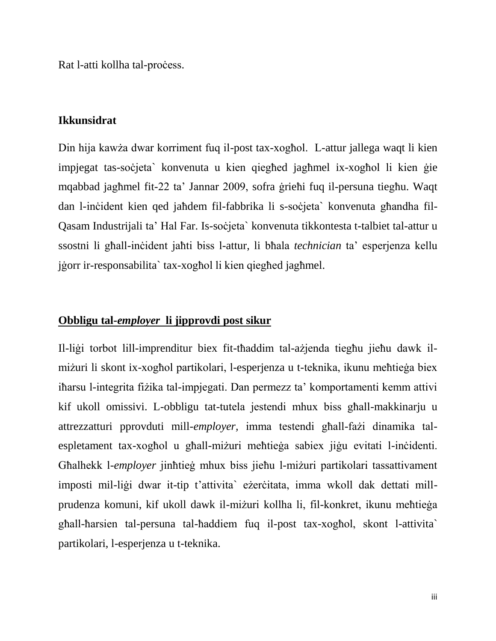Rat l-atti kollha tal-process.

### **Ikkunsidrat**

Din hija kawża dwar korriment fuq il-post tax-xogħol. L-attur jallega waqt li kien impjegat tas-soċjeta` konvenuta u kien qiegħed jagħmel ix-xogħol li kien ġie mqabbad jagħmel fit-22 ta' Jannar 2009, sofra ġrieħi fuq il-persuna tiegħu. Waqt dan l-inċident kien qed jaħdem fil-fabbrika li s-soċjeta` konvenuta għandha fil-Qasam Industrijali ta' Hal Far. Is-soċjeta` konvenuta tikkontesta t-talbiet tal-attur u ssostni li għall-inċident jaħti biss l-attur, li bħala *technician* ta' esperjenza kellu jġorr ir-responsabilita` tax-xogħol li kien qiegħed jagħmel.

### **Obbligu tal-***employer* **li jipprovdi post sikur**

Il-liġi torbot lill-imprenditur biex fit-tħaddim tal-ażjenda tiegħu jieħu dawk ilmiżuri li skont ix-xogħol partikolari, l-esperjenza u t-teknika, ikunu meħtieġa biex iħarsu l-integrita fiżika tal-impjegati. Dan permezz ta' komportamenti kemm attivi kif ukoll omissivi. L-obbligu tat-tutela jestendi mhux biss għall-makkinarju u attrezzatturi pprovduti mill-*employer,* imma testendi għall-fażi dinamika talespletament tax-xogħol u għall-miżuri meħtieġa sabiex jiġu evitati l-inċidenti. Għalhekk l-*employer* jinħtieġ mhux biss jieħu l-miżuri partikolari tassattivament imposti mil-liġi dwar it-tip t'attivita` eżerċitata, imma wkoll dak dettati millprudenza komuni, kif ukoll dawk il-miżuri kollha li, fil-konkret, ikunu meħtieġa għall-ħarsien tal-persuna tal-ħaddiem fuq il-post tax-xogħol, skont l-attivita` partikolari, l-esperjenza u t-teknika.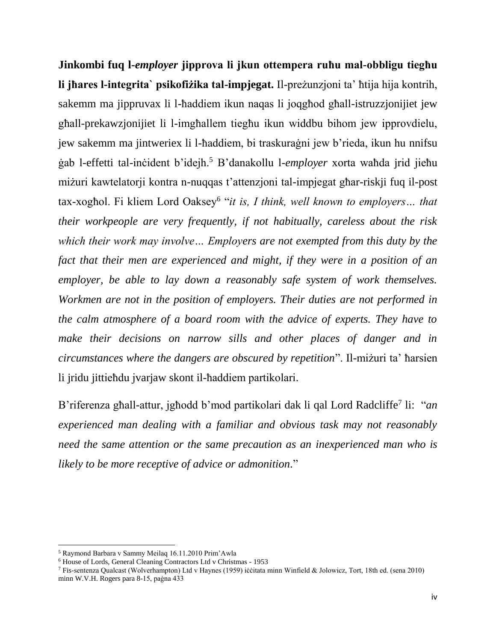**Jinkombi fuq l-***employer* **jipprova li jkun ottempera ruħu mal-obbligu tiegħu li jħares l-integrita` psikofiżika tal-impjegat.** Il-preżunzjoni ta' ħtija hija kontrih, sakemm ma jippruvax li l-ħaddiem ikun naqas li joqgħod għall-istruzzjonijiet jew għall-prekawzjonijiet li l-imgħallem tiegħu ikun widdbu bihom jew ipprovdielu, jew sakemm ma jintweriex li l-ħaddiem, bi traskuraġni jew b'rieda, ikun hu nnifsu ġab l-effetti tal-inċident b'idejh.<sup>5</sup> B'danakollu l-*employer* xorta waħda jrid jieħu miżuri kawtelatorji kontra n-nuqqas t'attenzjoni tal-impjegat għar-riskji fuq il-post tax-xogħol. Fi kliem Lord Oaksey<sup>6</sup> "*it is, I think, well known to employers... that their workpeople are very frequently, if not habitually, careless about the risk which their work may involve… Employers are not exempted from this duty by the fact that their men are experienced and might, if they were in a position of an employer, be able to lay down a reasonably safe system of work themselves. Workmen are not in the position of employers. Their duties are not performed in the calm atmosphere of a board room with the advice of experts. They have to make their decisions on narrow sills and other places of danger and in circumstances where the dangers are obscured by repetition*". Il-miżuri ta' ħarsien li jridu jittieħdu jvarjaw skont il-ħaddiem partikolari.

B'riferenza għall-attur, jgħodd b'mod partikolari dak li qal Lord Radcliffe<sup>7</sup> li: "*an experienced man dealing with a familiar and obvious task may not reasonably need the same attention or the same precaution as an inexperienced man who is likely to be more receptive of advice or admonition.*"

 $\overline{a}$ 

<sup>5</sup> Raymond Barbara v Sammy Meilaq 16.11.2010 Prim'Awla

<sup>6</sup> House of Lords, General Cleaning Contractors Ltd v Christmas - 1953

<sup>7</sup> Fis-sentenza Qualcast (Wolverhampton) Ltd v Haynes (1959) iċċitata minn Winfield & Jolowicz, Tort, 18th ed. (sena 2010) minn W.V.H. Rogers para 8-15, paġna 433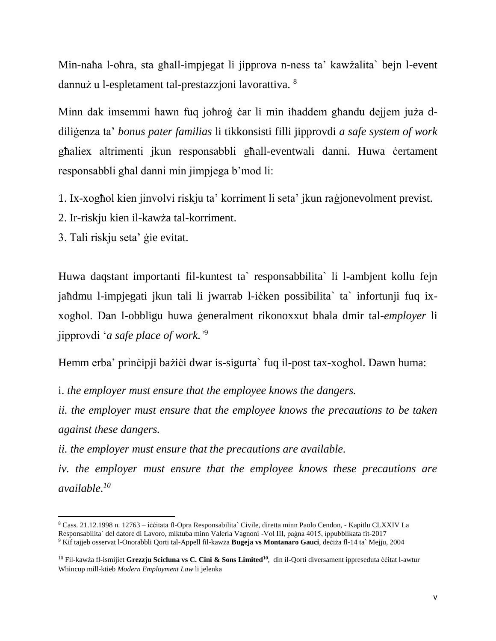Min-naħa l-oħra, sta għall-impjegat li jipprova n-ness ta' kawżalita` bejn l-event dannuż u l-espletament tal-prestazzjoni lavorattiva. <sup>8</sup>

Minn dak imsemmi hawn fuq joħroġ ċar li min iħaddem għandu dejjem juża ddiliġenza ta' *bonus pater familias* li tikkonsisti filli jipprovdi *a safe system of work* għaliex altrimenti jkun responsabbli għall-eventwali danni. Huwa ċertament responsabbli għal danni min jimpjega b'mod li:

- 1. Ix-xogħol kien jinvolvi riskju ta' korriment li seta' jkun raġjonevolment previst.
- 2. Ir-riskju kien il-kawża tal-korriment.
- 3. Tali riskju seta' ġie evitat.

Huwa daqstant importanti fil-kuntest ta` responsabbilita` li l-ambjent kollu fejn jaħdmu l-impjegati jkun tali li jwarrab l-iċken possibilita` ta` infortunji fuq ixxogħol. Dan l-obbligu huwa ġeneralment rikonoxxut bħala dmir tal-*employer* li jipprovdi '*a safe place of work.'* 9

Hemm erba' prinċipji bażiċi dwar is-sigurta` fuq il-post tax-xogħol. Dawn huma:

i. *the employer must ensure that the employee knows the dangers.*

*ii. the employer must ensure that the employee knows the precautions to be taken against these dangers.*

*ii. the employer must ensure that the precautions are available.*

*iv. the employer must ensure that the employee knows these precautions are available. 10*

 $\overline{\phantom{a}}$ <sup>8</sup> Cass. 21.12.1998 n. 12763 – iċċitata fl-Opra Responsabilita` Civile, diretta minn Paolo Cendon, - Kapitlu CLXXIV La Responsabilita` del datore di Lavoro, miktuba minn Valeria Vagnoni -Vol III, paġna 4015, ippubblikata fit-2017

<sup>9</sup> Kif tajjeb osservat l-Onorabbli Qorti tal-Appell fil-kawża **Bugeja vs Montanaro Gauci**, deċiża fl-14 ta` Mejju, 2004

<sup>10</sup> Fil-kawża fl-ismijiet **Grezzju Scicluna vs C. Cini & Sons Limited<sup>10</sup>**, din il-Qorti diversament ippreseduta ċċitat l-awtur Whincup mill-ktieb *Modern Employment Law* li jelenka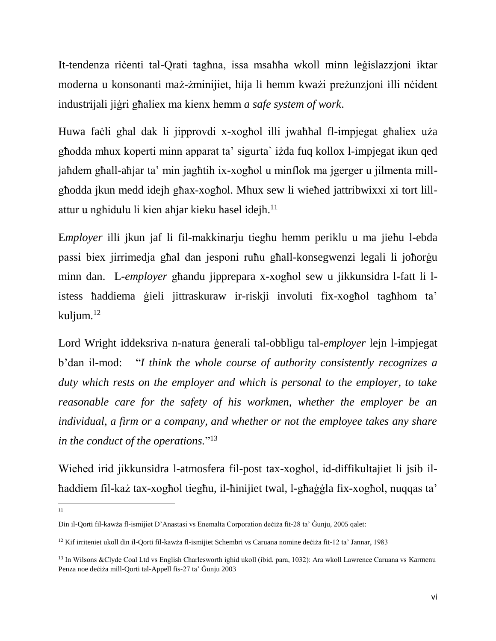It-tendenza riċenti tal-Qrati tagħna, issa msaħħa wkoll minn leġislazzjoni iktar moderna u konsonanti maż-żminijiet, hija li hemm kważi preżunzjoni illi nċident industrijali jiġri għaliex ma kienx hemm *a safe system of work*.

Huwa faċli għal dak li jipprovdi x-xogħol illi jwaħħal fl-impjegat għaliex uża għodda mhux koperti minn apparat ta' sigurta` iżda fuq kollox l-impjegat ikun qed jaħdem għall-aħjar ta' min jagħtih ix-xogħol u minflok ma jgerger u jilmenta millgħodda jkun medd idejh għax-xogħol. Mhux sew li wieħed jattribwixxi xi tort lillattur u ngħidulu li kien aħjar kieku ħasel idejh.<sup>11</sup>

E*mployer* illi jkun jaf li fil-makkinarju tiegħu hemm periklu u ma jieħu l-ebda passi biex jirrimedja għal dan jesponi ruħu għall-konsegwenzi legali li joħorġu minn dan. L-*employer* għandu jipprepara x-xogħol sew u jikkunsidra l-fatt li listess ħaddiema ġieli jittraskuraw ir-riskji involuti fix-xogħol tagħhom ta' kuljum. 12

Lord Wright iddeksriva n-natura ġenerali tal-obbligu tal-*employer* lejn l-impjegat b'dan il-mod: "*I think the whole course of authority consistently recognizes a duty which rests on the employer and which is personal to the employer, to take reasonable care for the safety of his workmen, whether the employer be an individual, a firm or a company, and whether or not the employee takes any share in the conduct of the operations.*" 13

Wieħed irid jikkunsidra l-atmosfera fil-post tax-xogħol, id-diffikultajiet li jsib ilħaddiem fil-każ tax-xogħol tiegħu, il-ħinijiet twal, l-għaġġla fix-xogħol, nuqqas ta'

 $\frac{1}{11}$ 

Din il-Qorti fil-kawża fl-ismijiet D'Anastasi vs Enemalta Corporation deċiża fit-28 ta' Ġunju, 2005 qalet:

<sup>12</sup> Kif irriteniet ukoll din il-Qorti fil-kawża fl-ismijiet Schembri vs Caruana nomine deċiża fit-12 ta' Jannar, 1983

<sup>&</sup>lt;sup>13</sup> In Wilsons &Clyde Coal Ltd vs English Charlesworth ighid ukoll (ibid. para, 1032): Ara wkoll Lawrence Caruana vs Karmenu Penza noe deċiża mill-Qorti tal-Appell fis-27 ta' Ġunju 2003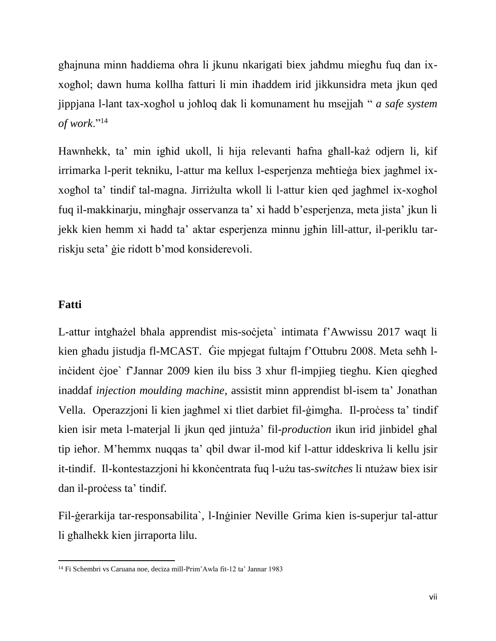għajnuna minn ħaddiema oħra li jkunu nkarigati biex jaħdmu miegħu fuq dan ixxogħol; dawn huma kollha fatturi li min iħaddem irid jikkunsidra meta jkun qed jippjana l-lant tax-xogħol u joħloq dak li komunament hu msejjaħ " *a safe system of work*."<sup>14</sup>

Hawnhekk, ta' min igħid ukoll, li hija relevanti ħafna għall-każ odjern li, kif irrimarka l-perit tekniku, l-attur ma kellux l-esperjenza meħtieġa biex jagħmel ixxogħol ta' tindif tal-magna. Jirriżulta wkoll li l-attur kien qed jagħmel ix-xogħol fuq il-makkinarju, mingħajr osservanza ta' xi ħadd b'esperjenza, meta jista' jkun li jekk kien hemm xi ħadd ta' aktar esperjenza minnu jgħin lill-attur, il-periklu tarriskju seta' ġie ridott b'mod konsiderevoli.

### **Fatti**

 $\overline{a}$ 

L-attur intgħażel bħala apprendist mis-soċjeta` intimata f'Awwissu 2017 waqt li kien għadu jistudja fl-MCAST. Ġie mpjegat fultajm f'Ottubru 2008. Meta seħħ linċident ċjoe` f'Jannar 2009 kien ilu biss 3 xhur fl-impjieg tiegħu. Kien qiegħed inaddaf *injection moulding machine*, assistit minn apprendist bl-isem ta' Jonathan Vella. Operazzjoni li kien jaghmel xi tliet darbiet fil-gimgha. Il-process ta' tindif kien isir meta l-materjal li jkun qed jintuża' fil-*production* ikun irid jinbidel għal tip ieħor. M'hemmx nuqqas ta' qbil dwar il-mod kif l-attur iddeskriva li kellu jsir it-tindif. Il-kontestazzjoni hi kkonċentrata fuq l-użu tas-*switches* li ntużaw biex isir dan il-process ta' tindif.

Fil-ġerarkija tar-responsabilita`, l-Inġinier Neville Grima kien is-superjur tal-attur li għalhekk kien jirraporta lilu.

<sup>14</sup> Fi Schembri vs Caruana noe, deciza mill-Prim'Awla fit-12 ta' Jannar 1983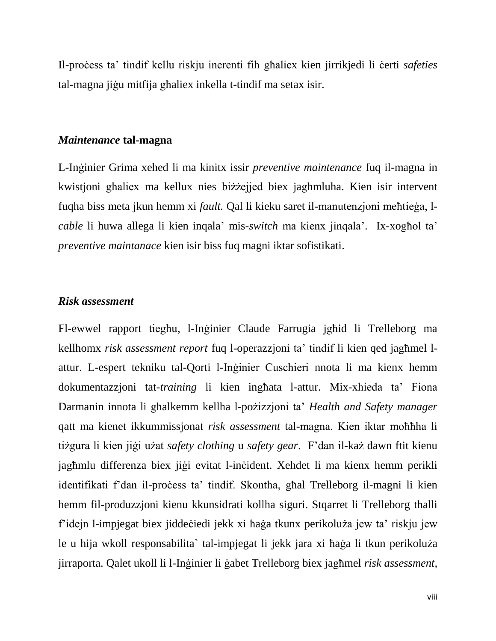Il-proċess ta' tindif kellu riskju inerenti fih għaliex kien jirrikjedi li ċerti *safeties* tal-magna jiġu mitfija għaliex inkella t-tindif ma setax isir.

#### *Maintenance* **tal-magna**

L-Inġinier Grima xehed li ma kinitx issir *preventive maintenance* fuq il-magna in kwistjoni għaliex ma kellux nies biżżejjed biex jagħmluha. Kien isir intervent fuqha biss meta jkun hemm xi *fault.* Qal li kieku saret il-manutenzjoni meħtieġa, l*cable* li huwa allega li kien inqala' mis-*switch* ma kienx jinqala'. Ix-xogħol ta' *preventive maintanace* kien isir biss fuq magni iktar sofistikati.

#### *Risk assessment*

Fl-ewwel rapport tiegħu, l-Inġinier Claude Farrugia jgħid li Trelleborg ma kellhomx *risk assessment report* fuq l-operazzjoni ta' tindif li kien qed jagħmel lattur. L-espert tekniku tal-Qorti l-Inġinier Cuschieri nnota li ma kienx hemm dokumentazzjoni tat-*training* li kien ingħata l-attur. Mix-xhieda ta' Fiona Darmanin innota li għalkemm kellha l-pożizzjoni ta' *Health and Safety manager* qatt ma kienet ikkummissjonat *risk assessment* tal-magna. Kien iktar moħħha li tiżgura li kien jiġi użat *safety clothing* u *safety gear*. F'dan il-każ dawn ftit kienu jagħmlu differenza biex jiġi evitat l-inċident. Xehdet li ma kienx hemm perikli identifikati f'dan il-proċess ta' tindif. Skontha, għal Trelleborg il-magni li kien hemm fil-produzzjoni kienu kkunsidrati kollha siguri. Stqarret li Trelleborg tħalli f'idejn l-impjegat biex jiddeċiedi jekk xi ħaġa tkunx perikoluża jew ta' riskju jew le u hija wkoll responsabilita` tal-impjegat li jekk jara xi ħaġa li tkun perikoluża jirraporta. Qalet ukoll li l-Inġinier li ġabet Trelleborg biex jagħmel *risk assessment*,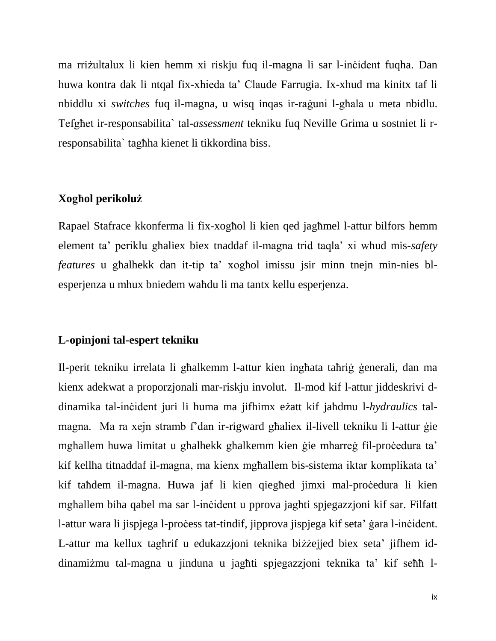ma rriżultalux li kien hemm xi riskju fuq il-magna li sar l-inċident fuqha. Dan huwa kontra dak li ntqal fix-xhieda ta' Claude Farrugia. Ix-xhud ma kinitx taf li nbiddlu xi *switches* fuq il-magna, u wisq inqas ir-raġuni l-għala u meta nbidlu. Tefgħet ir-responsabilita` tal-*assessment* tekniku fuq Neville Grima u sostniet li rresponsabilita` tagħha kienet li tikkordina biss.

## **Xogħol perikoluż**

Rapael Stafrace kkonferma li fix-xogħol li kien qed jagħmel l-attur bilfors hemm element ta' periklu għaliex biex tnaddaf il-magna trid taqla' xi wħud mis-*safety features* u għalhekk dan it-tip ta' xogħol imissu jsir minn tnejn min-nies blesperjenza u mhux bniedem waħdu li ma tantx kellu esperjenza.

## **L-opinjoni tal-espert tekniku**

Il-perit tekniku irrelata li għalkemm l-attur kien ingħata taħriġ ġenerali, dan ma kienx adekwat a proporzjonali mar-riskju involut. Il-mod kif l-attur jiddeskrivi ddinamika tal-inċident juri li huma ma jifhimx eżatt kif jaħdmu l-*hydraulics* talmagna. Ma ra xejn stramb f'dan ir-rigward għaliex il-livell tekniku li l-attur ġie mgħallem huwa limitat u għalhekk għalkemm kien ġie mħarreġ fil-proċedura ta' kif kellha titnaddaf il-magna, ma kienx mgħallem bis-sistema iktar komplikata ta' kif taħdem il-magna. Huwa jaf li kien qiegħed jimxi mal-proċedura li kien mgħallem biha qabel ma sar l-inċident u pprova jagħti spjegazzjoni kif sar. Filfatt l-attur wara li jispjega l-proċess tat-tindif, jipprova jispjega kif seta' ġara l-inċident. L-attur ma kellux tagħrif u edukazzjoni teknika biżżejjed biex seta' jifhem iddinamiżmu tal-magna u jinduna u jagħti spjegazzjoni teknika ta' kif seħħ l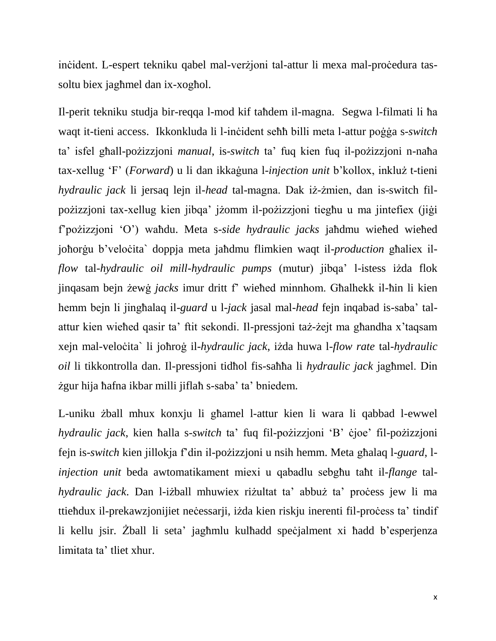inċident. L-espert tekniku qabel mal-verżjoni tal-attur li mexa mal-proċedura tassoltu biex jagħmel dan ix-xogħol.

Il-perit tekniku studja bir-reqqa l-mod kif taħdem il-magna. Segwa l-filmati li ħa waqt it-tieni access. Ikkonkluda li l-inċident seħħ billi meta l-attur poġġa s-*switch* ta' isfel għall-pożizzjoni *manual*, is-*switch* ta' fuq kien fuq il-pożizzjoni n-naħa tax-xellug 'F' (*Forward*) u li dan ikkaġuna l-*injection unit* b'kollox, inkluż t-tieni *hydraulic jack* li jersaq lejn il-*head* tal-magna. Dak iż-żmien, dan is-switch filpożizzjoni tax-xellug kien jibqa' jżomm il-pożizzjoni tiegħu u ma jintefiex (jiġi f'pożizzjoni 'O') waħdu. Meta s-*side hydraulic jacks* jaħdmu wieħed wieħed joħorġu b'veloċita` doppja meta jaħdmu flimkien waqt il-*production* għaliex il*flow* tal-*hydraulic oil mill-hydraulic pumps* (mutur) jibqa' l-istess iżda flok jinqasam bejn żewġ *jacks* imur dritt f' wieħed minnhom. Għalhekk il-ħin li kien hemm bejn li jingħalaq il-*guard* u l-*jack* jasal mal-*head* fejn inqabad is-saba' talattur kien wieħed qasir ta' ftit sekondi. Il-pressjoni taż-żejt ma għandha x'taqsam xejn mal-veloċita` li joħroġ il-*hydraulic jack*, iżda huwa l-*flow rate* tal-*hydraulic oil* li tikkontrolla dan. Il-pressjoni tidħol fis-saħħa li *hydraulic jack* jagħmel. Din żgur hija ħafna ikbar milli jiflaħ s-saba' ta' bniedem.

L-uniku żball mhux konxju li għamel l-attur kien li wara li qabbad l-ewwel *hydraulic jack*, kien ħalla s-*switch* ta' fuq fil-pożizzjoni 'B' ċjoe' fil-pożizzjoni fejn is-*switch* kien jillokja f'din il-pożizzjoni u nsih hemm. Meta għalaq l-*guard*, l*injection unit* beda awtomatikament miexi u qabadlu sebgħu taħt il-*flange* tal*hydraulic jack*. Dan l-iżball mhuwiex riżultat ta' abbuż ta' proċess jew li ma ttieħdux il-prekawzjonijiet neċessarji, iżda kien riskju inerenti fil-proċess ta' tindif li kellu jsir. Żball li seta' jagħmlu kulħadd speċjalment xi ħadd b'esperjenza limitata ta' tliet xhur.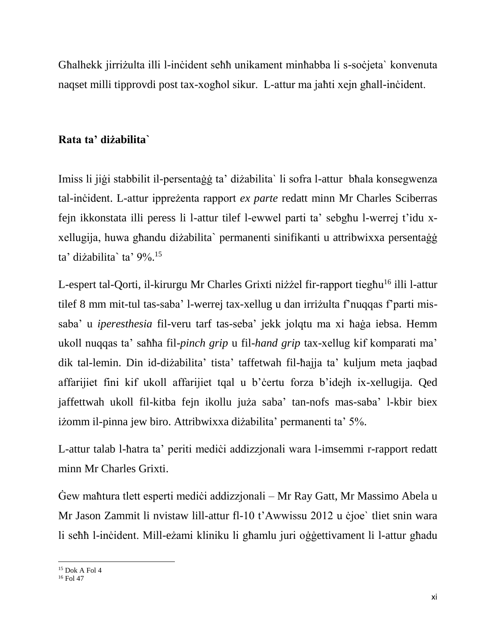Għalhekk jirriżulta illi l-inċident seħħ unikament minħabba li s-soċjeta` konvenuta naqset milli tipprovdi post tax-xogħol sikur. L-attur ma jaħti xejn għall-inċident.

## **Rata ta' diżabilita`**

Imiss li jiġi stabbilit il-persentaġġ ta' diżabilita` li sofra l-attur bħala konsegwenza tal-inċident. L-attur ippreżenta rapport *ex parte* redatt minn Mr Charles Sciberras fejn ikkonstata illi peress li l-attur tilef l-ewwel parti ta' sebgħu l-werrej t'idu xxellugija, huwa għandu diżabilita` permanenti sinifikanti u attribwixxa persentaġġ ta' diżabilita` ta' 9%. 15

L-espert tal-Qorti, il-kirurgu Mr Charles Grixti niżżel fir-rapport tiegħu<sup>16</sup> illi l-attur tilef 8 mm mit-tul tas-saba' l-werrej tax-xellug u dan irriżulta f'nuqqas f'parti missaba' u *iperesthesia* fil-veru tarf tas-seba' jekk jolqtu ma xi ħaġa iebsa. Hemm ukoll nuqqas ta' saħħa fil-*pinch grip* u fil-*hand grip* tax-xellug kif komparati ma' dik tal-lemin. Din id-diżabilita' tista' taffetwah fil-ħajja ta' kuljum meta jaqbad affarijiet fini kif ukoll affarijiet tqal u b'ċertu forza b'idejh ix-xellugija. Qed jaffettwah ukoll fil-kitba fejn ikollu juża saba' tan-nofs mas-saba' l-kbir biex iżomm il-pinna jew biro. Attribwixxa diżabilita' permanenti ta' 5%.

L-attur talab l-ħatra ta' periti medici addizzjonali wara l-imsemmi r-rapport redatt minn Mr Charles Grixti.

Gew maħtura tlett esperti mediċi addizzjonali – Mr Ray Gatt, Mr Massimo Abela u Mr Jason Zammit li nvistaw lill-attur fl-10 t'Awwissu 2012 u ċjoe` tliet snin wara li seħħ l-inċident. Mill-eżami kliniku li għamlu juri oġġettivament li l-attur għadu

 $\overline{\phantom{a}}$ <sup>15</sup> Dok A Fol 4

<sup>16</sup> Fol 47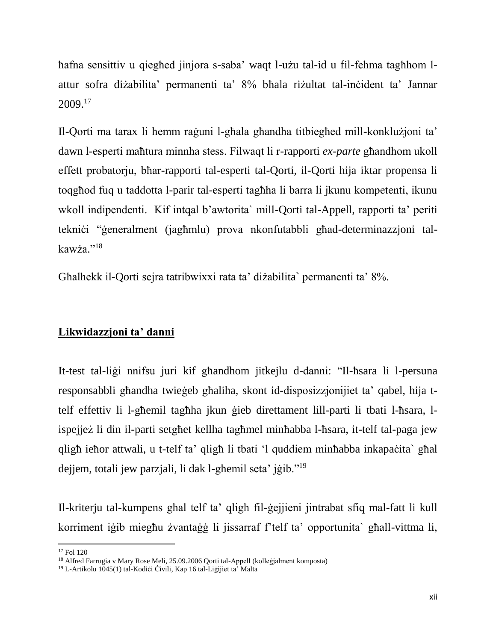ħafna sensittiv u qiegħed jinjora s-saba' waqt l-użu tal-id u fil-fehma tagħhom lattur sofra diżabilita' permanenti ta' 8% bħala riżultat tal-inċident ta' Jannar 2009.<sup>17</sup>

Il-Qorti ma tarax li hemm raġuni l-għala għandha titbiegħed mill-konklużjoni ta' dawn l-esperti maħtura minnha stess. Filwaqt li r-rapporti *ex-parte* għandhom ukoll effett probatorju, bħar-rapporti tal-esperti tal-Qorti, il-Qorti hija iktar propensa li toqgħod fuq u taddotta l-parir tal-esperti tagħha li barra li jkunu kompetenti, ikunu wkoll indipendenti. Kif intqal b'awtorita` mill-Qorti tal-Appell, rapporti ta' periti tekniċi "ġeneralment (jagħmlu) prova nkonfutabbli għad-determinazzjoni talkawża."<sup>18</sup>

Għalhekk il-Qorti sejra tatribwixxi rata ta' diżabilita` permanenti ta' 8%.

## **Likwidazzjoni ta' danni**

It-test tal-liġi nnifsu juri kif għandhom jitkejlu d-danni: "Il-ħsara li l-persuna responsabbli għandha twieġeb għaliha, skont id-disposizzjonijiet ta' qabel, hija ttelf effettiv li l-għemil tagħha jkun ġieb direttament lill-parti li tbati l-ħsara, lispejjeż li din il-parti setgħet kellha tagħmel minħabba l-ħsara, it-telf tal-paga jew qligħ ieħor attwali, u t-telf ta' qligħ li tbati 'l quddiem minħabba inkapaċita` għal dejjem, totali jew parzjali, li dak l-għemil seta' jġib."<sup>19</sup>

Il-kriterju tal-kumpens għal telf ta' qligħ fil-ġejjieni jintrabat sfiq mal-fatt li kull korriment iġib miegħu żvantaġġ li jissarraf f'telf ta' opportunita` għall-vittma li,

 $\overline{a}$ <sup>17</sup> Fol 120

<sup>&</sup>lt;sup>18</sup> Alfred Farrugia v Mary Rose Meli, 25.09.2006 Qorti tal-Appell (kolleġjalment komposta)

<sup>&</sup>lt;sup>19</sup> L-Artikolu 1045(1) tal-Kodiċi Ċivili, Kap 16 tal-Liġijiet ta' Malta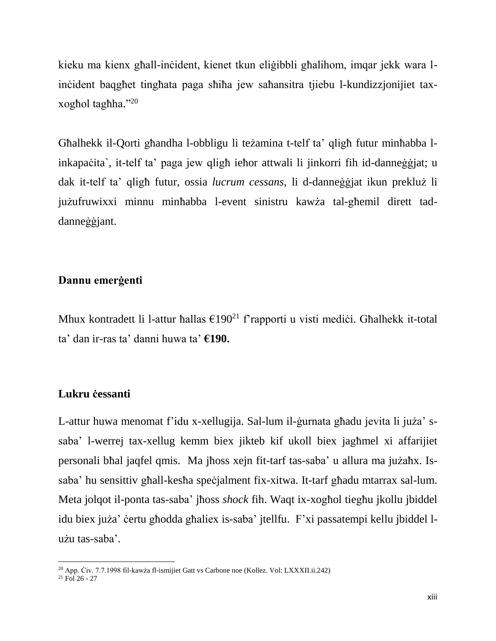kieku ma kienx għall-inċident, kienet tkun eliġibbli għalihom, imqar jekk wara linċident baqgħet tingħata paga sħiħa jew saħansitra tjiebu l-kundizzjonijiet taxxogħol tagħha." 20

Għalhekk il-Qorti għandha l-obbligu li teżamina t-telf ta' qligħ futur minħabba linkapaċita`, it-telf ta' paga jew qligħ ieħor attwali li jinkorri fih id-danneġġjat; u dak it-telf ta' qligħ futur, ossia *lucrum cessans*, li d-danneġġjat ikun prekluż li jużufruwixxi minnu minħabba l-event sinistru kawża tal-għemil dirett taddanneġġjant.

### **Dannu emerġenti**

Mhux kontradett li l-attur ħallas  $\epsilon$ 190<sup>21</sup> f'rapporti u visti mediċi. Għalhekk it-total ta' dan ir-ras ta' danni huwa ta' **€190.**

### **Lukru ċessanti**

L-attur huwa menomat f'idu x-xellugija. Sal-lum il-ġurnata għadu jevita li juża' ssaba' l-werrej tax-xellug kemm biex jikteb kif ukoll biex jagħmel xi affarijiet personali bħal jaqfel qmis. Ma jħoss xejn fit-tarf tas-saba' u allura ma jużaħx. Issaba' hu sensittiv għall-kesħa speċjalment fix-xitwa. It-tarf għadu mtarrax sal-lum. Meta jolqot il-ponta tas-saba' jħoss *shock* fih. Waqt ix-xogħol tiegħu jkollu jbiddel idu biex juża' ċertu għodda għaliex is-saba' jtellfu. F'xi passatempi kellu jbiddel lużu tas-saba'.

 $\overline{\phantom{a}}$ 

<sup>20</sup> App. Ċiv. 7.7.1998 fil-kawża fl-ismijiet Gatt vs Carbone noe (Kollez. Vol: LXXXII.ii.242)

 $^{21}$  Fol 26 - 27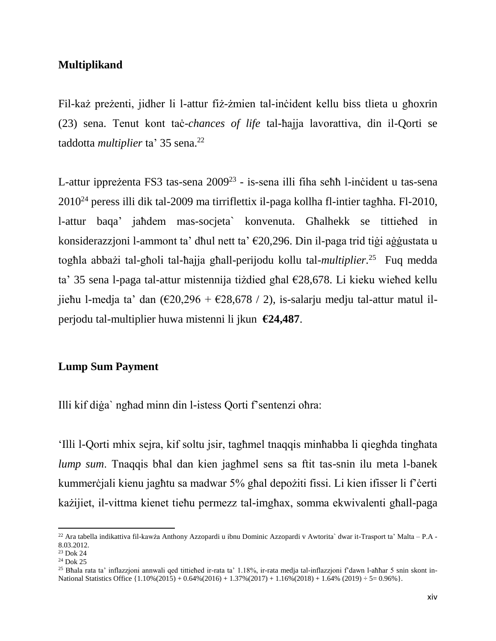## **Multiplikand**

Fil-każ preżenti, jidher li l-attur fiż-żmien tal-inċident kellu biss tlieta u għoxrin (23) sena. Tenut kont taċ-*chances of life* tal-ħajja lavorattiva, din il-Qorti se taddotta *multiplier* ta' 35 sena. 22

L-attur ippreżenta FS3 tas-sena 2009<sup>23</sup> - is-sena illi fiha seħħ l-inċident u tas-sena 2010<sup>24</sup> peress illi dik tal-2009 ma tirriflettix il-paga kollha fl-intier tagħha. Fl-2010, l-attur baqa' jaħdem mas-socjeta` konvenuta. Għalhekk se tittieħed in konsiderazzjoni l-ammont ta' dħul nett ta' €20,296. Din il-paga trid tiġi aġġustata u togħla abbażi tal-għoli tal-ħajja għall-perijodu kollu tal-*multiplier.* 25 Fuq medda ta' 35 sena l-paga tal-attur mistennija tiżdied għal €28,678. Li kieku wieħed kellu jieħu l-medja ta' dan  $(\text{\textsterling}20, 296 + \text{\textsterling}28, 678 / 2)$ , is-salarju medju tal-attur matul ilperjodu tal-multiplier huwa mistenni li jkun **€24,487**.

## **Lump Sum Payment**

Illi kif diġa` ngħad minn din l-istess Qorti f'sentenzi oħra:

'Illi l-Qorti mhix sejra, kif soltu jsir, tagħmel tnaqqis minħabba li qiegħda tingħata *lump sum*. Tnaqqis bħal dan kien jagħmel sens sa ftit tas-snin ilu meta l-banek kummerċjali kienu jagħtu sa madwar 5% għal depożiti fissi. Li kien ifisser li f'ċerti każijiet, il-vittma kienet tieħu permezz tal-imgħax, somma ekwivalenti għall-paga

 $\overline{a}$ 

<sup>22</sup> Ara tabella indikattiva fil-kawża Anthony Azzopardi u ibnu Dominic Azzopardi v Awtorita` dwar it-Trasport ta' Malta – P.A - 8.03.2012.

<sup>23</sup> Dok 24

<sup>24</sup> Dok 25

<sup>&</sup>lt;sup>25</sup> Bħala rata ta' inflazzjoni annwali qed tittieħed ir-rata ta' 1.18%, ir-rata medja tal-inflazzjoni f'dawn l-aħħar 5 snin skont in-National Statistics Office {1.10%(2015) + 0.64%(2016) + 1.37%(2017) + 1.16%(2018) + 1.64% (2019) ÷ 5= 0.96%}.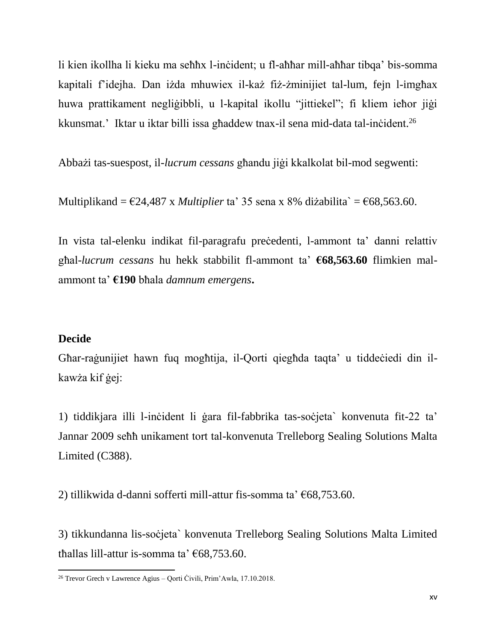li kien ikollha li kieku ma seħħx l-inċident; u fl-aħħar mill-aħħar tibqa' bis-somma kapitali f'idejha. Dan iżda mhuwiex il-każ fiż-żminijiet tal-lum, fejn l-imgħax huwa prattikament negliġibbli, u l-kapital ikollu "jittiekel"; fi kliem ieħor jiġi kkunsmat.' Iktar u iktar billi issa għaddew tnax-il sena mid-data tal-inċident.<sup>26</sup>

Abbażi tas-suespost, il-*lucrum cessans* għandu jiġi kkalkolat bil-mod segwenti:

Multiplikand =  $\epsilon$ 24,487 x *Multiplier* ta' 35 sena x 8% diżabilita` =  $\epsilon$ 68,563.60.

In vista tal-elenku indikat fil-paragrafu precedenti, l-ammont ta' danni relattiv għal-*lucrum cessans* hu hekk stabbilit fl-ammont ta' **€68,563.60** flimkien malammont ta' **€190** bħala *damnum emergens***.**

### **Decide**

 $\overline{a}$ 

Għar-raġunijiet hawn fuq mogħtija, il-Qorti qiegħda taqta' u tiddeċiedi din ilkawża kif ġej:

1) tiddikjara illi l-inċident li ġara fil-fabbrika tas-soċjeta` konvenuta fit-22 ta' Jannar 2009 seħħ unikament tort tal-konvenuta Trelleborg Sealing Solutions Malta Limited (C388).

2) tillikwida d-danni sofferti mill-attur fis-somma ta' €68,753.60.

3) tikkundanna lis-soċjeta` konvenuta Trelleborg Sealing Solutions Malta Limited tħallas lill-attur is-somma ta' €68,753.60.

<sup>26</sup> Trevor Grech v Lawrence Agius – Qorti Ċivili, Prim'Awla, 17.10.2018.